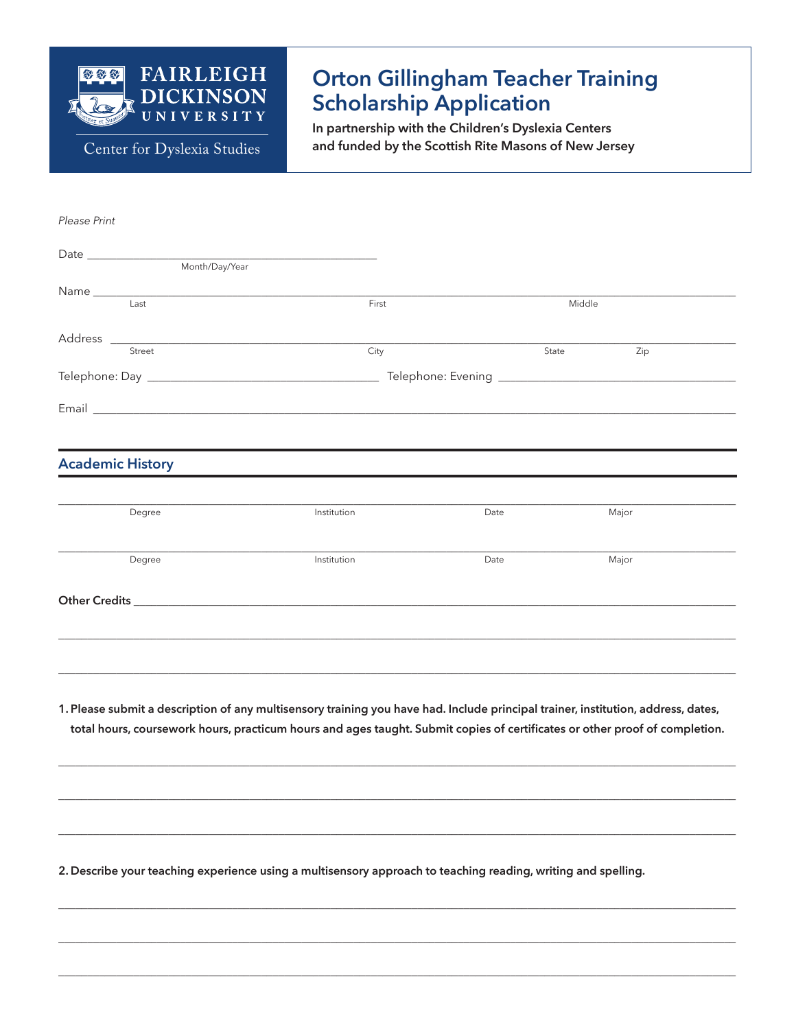

Center for Dyslexia Studies

# **Orton Gillingham Teacher Training Scholarship Application**

In partnership with the Children's Dyslexia Centers and funded by the Scottish Rite Masons of New Jersey

Please Print

| $\begin{tabular}{ c c c } \hline \multicolumn{3}{ c }{\text{Date}} & \multicolumn{3}{ c }{\text{Date}} \\ \hline \multicolumn{3}{ c }{\text{Date}} & \multicolumn{3}{ c }{\text{Date}} \\ \hline \multicolumn{3}{ c }{\text{Date}} & \multicolumn{3}{ c }{\text{Date}} \\ \hline \multicolumn{3}{ c }{\text{Date}} & \multicolumn{3}{ c }{\text{Date}} \\ \hline \multicolumn{3}{ c }{\text{Date}} & \multicolumn{3}{ c }{\text{Date}} \\ \hline \multicolumn{3}{ c }{\text{Date}} & \$ |       |        |     |  |
|-----------------------------------------------------------------------------------------------------------------------------------------------------------------------------------------------------------------------------------------------------------------------------------------------------------------------------------------------------------------------------------------------------------------------------------------------------------------------------------------|-------|--------|-----|--|
| Month/Day/Year                                                                                                                                                                                                                                                                                                                                                                                                                                                                          |       |        |     |  |
|                                                                                                                                                                                                                                                                                                                                                                                                                                                                                         |       |        |     |  |
| Last                                                                                                                                                                                                                                                                                                                                                                                                                                                                                    | First | Middle |     |  |
|                                                                                                                                                                                                                                                                                                                                                                                                                                                                                         |       |        |     |  |
|                                                                                                                                                                                                                                                                                                                                                                                                                                                                                         |       |        |     |  |
| Street                                                                                                                                                                                                                                                                                                                                                                                                                                                                                  | City  | State  | Zip |  |
|                                                                                                                                                                                                                                                                                                                                                                                                                                                                                         |       |        |     |  |
|                                                                                                                                                                                                                                                                                                                                                                                                                                                                                         |       |        |     |  |
| Email <b>Exercise Email</b>                                                                                                                                                                                                                                                                                                                                                                                                                                                             |       |        |     |  |
|                                                                                                                                                                                                                                                                                                                                                                                                                                                                                         |       |        |     |  |

#### **Academic History**

| Degree        | Institution | Date | Major |  |
|---------------|-------------|------|-------|--|
| Degree        | Institution | Date | Major |  |
| Other Credits |             |      |       |  |
|               |             |      |       |  |

1. Please submit a description of any multisensory training you have had. Include principal trainer, institution, address, dates, total hours, coursework hours, practicum hours and ages taught. Submit copies of certificates or other proof of completion.

2. Describe your teaching experience using a multisensory approach to teaching reading, writing and spelling.